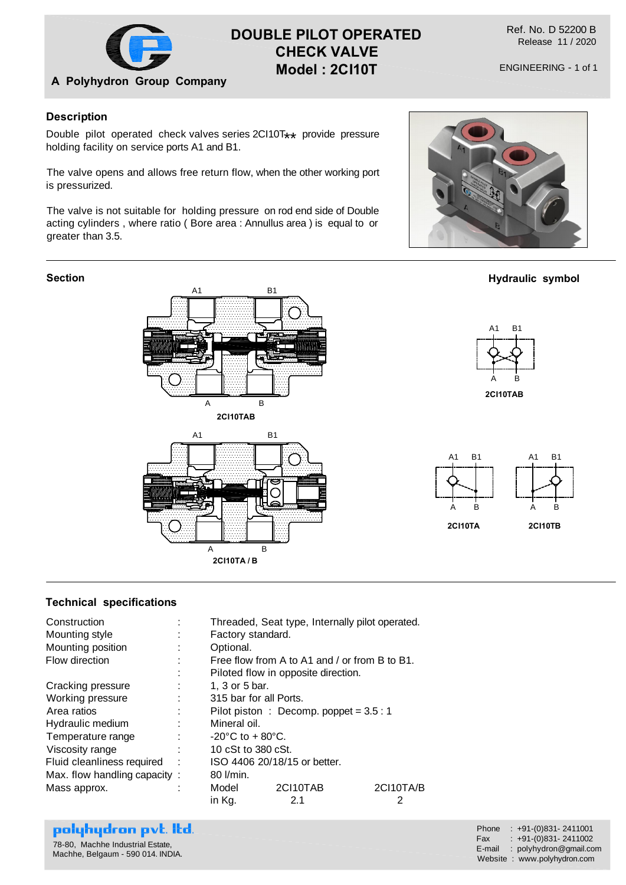

# **DOUBLE PILOT OPERATED CHECK VALVE Model : 2CI10T**

Ref. No. D 52200 B Release 11 / 2020

### **Description**

Double pilot operated check valves series 2Cl10T\*\* provide pressure<br>holding fosility on consice parts 01 and P1 holding facility on service ports A1 and B1.

The valve opens and allows free return flow, when the other working port is pressurized.

The valve is not suitable for holding pressure on rod end side of Double acting cylinders , where ratio ( Bore area : Annullus area ) is equal to or greater than 3.5.

#### **Section**





#### **Technical specifications**

| Construction                 |   | Threaded, Seat type, Internally pilot operated. |          |           |
|------------------------------|---|-------------------------------------------------|----------|-----------|
| Mounting style               |   | Factory standard.                               |          |           |
| Mounting position            |   | Optional.                                       |          |           |
| Flow direction               |   | Free flow from A to A1 and / or from B to B1.   |          |           |
|                              |   | Piloted flow in opposite direction.             |          |           |
| Cracking pressure            |   | 1, 3 or 5 bar.                                  |          |           |
| Working pressure             |   | 315 bar for all Ports.                          |          |           |
| Area ratios                  |   | Pilot piston : Decomp. poppet = $3.5:1$         |          |           |
| Hydraulic medium             |   | Mineral oil.                                    |          |           |
| Temperature range            |   | $-20^{\circ}$ C to + 80 $^{\circ}$ C.           |          |           |
| Viscosity range              |   | 10 cSt to 380 cSt.                              |          |           |
| Fluid cleanliness required   | ÷ | ISO 4406 20/18/15 or better.                    |          |           |
| Max. flow handling capacity: |   | 80 l/min.                                       |          |           |
| Mass approx.                 |   | Model                                           | 2CI10TAB | 2CI10TA/B |
|                              |   | in Kg.                                          | 2.1      | 2         |

## polyhydron pvt. Itd.

78-80, Machhe Industrial Estate, Machhe, Belgaum - 590 014. INDIA. Phone : +91-(0)831-2411001<br>Fax : +91-(0)831-2411002  $: +91-(0)831 - 2411002$ E-mail : polyhydron@gmail.com Website : www.polyhydron.com